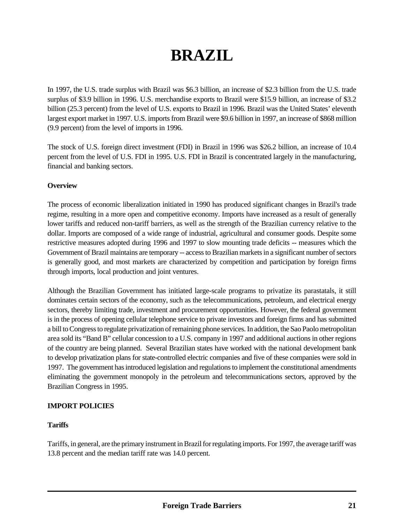# **BRAZIL**

In 1997, the U.S. trade surplus with Brazil was \$6.3 billion, an increase of \$2.3 billion from the U.S. trade surplus of \$3.9 billion in 1996. U.S. merchandise exports to Brazil were \$15.9 billion, an increase of \$3.2 billion (25.3 percent) from the level of U.S. exports to Brazil in 1996. Brazil was the United States' eleventh largest export market in 1997. U.S. imports from Brazil were \$9.6 billion in 1997, an increase of \$868 million (9.9 percent) from the level of imports in 1996.

The stock of U.S. foreign direct investment (FDI) in Brazil in 1996 was \$26.2 billion, an increase of 10.4 percent from the level of U.S. FDI in 1995. U.S. FDI in Brazil is concentrated largely in the manufacturing, financial and banking sectors.

## **Overview**

The process of economic liberalization initiated in 1990 has produced significant changes in Brazil's trade regime, resulting in a more open and competitive economy. Imports have increased as a result of generally lower tariffs and reduced non-tariff barriers, as well as the strength of the Brazilian currency relative to the dollar. Imports are composed of a wide range of industrial, agricultural and consumer goods. Despite some restrictive measures adopted during 1996 and 1997 to slow mounting trade deficits -- measures which the Government of Brazil maintains are temporary -- access to Brazilian markets in a significant number of sectors is generally good, and most markets are characterized by competition and participation by foreign firms through imports, local production and joint ventures.

Although the Brazilian Government has initiated large-scale programs to privatize its parastatals, it still dominates certain sectors of the economy, such as the telecommunications, petroleum, and electrical energy sectors, thereby limiting trade, investment and procurement opportunities. However, the federal government is in the process of opening cellular telephone service to private investors and foreign firms and has submitted a bill to Congress to regulate privatization of remaining phone services. In addition, the Sao Paolo metropolitan area sold its "Band B" cellular concession to a U.S. company in 1997 and additional auctions in other regions of the country are being planned. Several Brazilian states have worked with the national development bank to develop privatization plans for state-controlled electric companies and five of these companies were sold in 1997. The government has introduced legislation and regulations to implement the constitutional amendments eliminating the government monopoly in the petroleum and telecommunications sectors, approved by the Brazilian Congress in 1995.

# **IMPORT POLICIES**

# **Tariffs**

Tariffs, in general, are the primary instrument in Brazil for regulating imports. For 1997, the average tariff was 13.8 percent and the median tariff rate was 14.0 percent.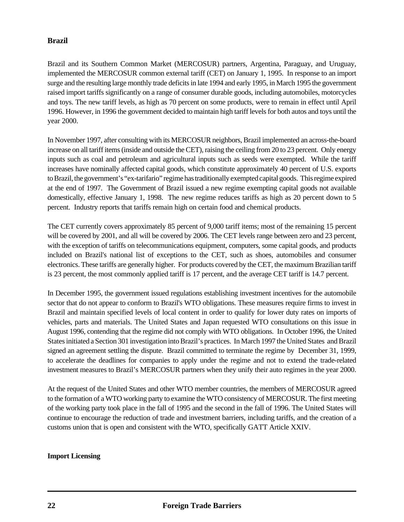Brazil and its Southern Common Market (MERCOSUR) partners, Argentina, Paraguay, and Uruguay, implemented the MERCOSUR common external tariff (CET) on January 1, 1995. In response to an import surge and the resulting large monthly trade deficits in late 1994 and early 1995, in March 1995 the government raised import tariffs significantly on a range of consumer durable goods, including automobiles, motorcycles and toys. The new tariff levels, as high as 70 percent on some products, were to remain in effect until April 1996. However, in 1996 the government decided to maintain high tariff levels for both autos and toys until the year 2000.

In November 1997, after consulting with its MERCOSUR neighbors, Brazil implemented an across-the-board increase on all tariff items (inside and outside the CET), raising the ceiling from 20 to 23 percent. Only energy inputs such as coal and petroleum and agricultural inputs such as seeds were exempted. While the tariff increases have nominally affected capital goods, which constitute approximately 40 percent of U.S. exports to Brazil, the government's "ex-tarifario" regime has traditionally exempted capital goods. This regime expired at the end of 1997. The Government of Brazil issued a new regime exempting capital goods not available domestically, effective January 1, 1998. The new regime reduces tariffs as high as 20 percent down to 5 percent. Industry reports that tariffs remain high on certain food and chemical products.

The CET currently covers approximately 85 percent of 9,000 tariff items; most of the remaining 15 percent will be covered by 2001, and all will be covered by 2006. The CET levels range between zero and 23 percent, with the exception of tariffs on telecommunications equipment, computers, some capital goods, and products included on Brazil's national list of exceptions to the CET, such as shoes, automobiles and consumer electronics. These tariffs are generally higher. For products covered by the CET, the maximum Brazilian tariff is 23 percent, the most commonly applied tariff is 17 percent, and the average CET tariff is 14.7 percent.

In December 1995, the government issued regulations establishing investment incentives for the automobile sector that do not appear to conform to Brazil's WTO obligations. These measures require firms to invest in Brazil and maintain specified levels of local content in order to qualify for lower duty rates on imports of vehicles, parts and materials. The United States and Japan requested WTO consultations on this issue in August 1996, contending that the regime did not comply with WTO obligations. In October 1996, the United States initiated a Section 301 investigation into Brazil's practices. In March 1997 the United States and Brazil signed an agreement settling the dispute. Brazil committed to terminate the regime by December 31, 1999, to accelerate the deadlines for companies to apply under the regime and not to extend the trade-related investment measures to Brazil's MERCOSUR partners when they unify their auto regimes in the year 2000.

At the request of the United States and other WTO member countries, the members of MERCOSUR agreed to the formation of a WTO working party to examine the WTO consistency of MERCOSUR. The first meeting of the working party took place in the fall of 1995 and the second in the fall of 1996. The United States will continue to encourage the reduction of trade and investment barriers, including tariffs, and the creation of a customs union that is open and consistent with the WTO, specifically GATT Article XXIV.

#### **Import Licensing**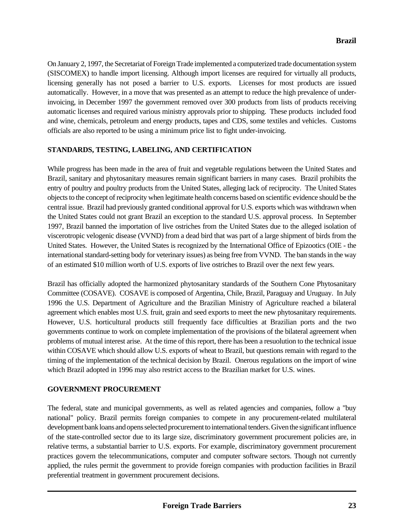On January 2, 1997, the Secretariat of Foreign Trade implemented a computerized trade documentation system (SISCOMEX) to handle import licensing. Although import licenses are required for virtually all products, licensing generally has not posed a barrier to U.S. exports. Licenses for most products are issued automatically. However, in a move that was presented as an attempt to reduce the high prevalence of underinvoicing, in December 1997 the government removed over 300 products from lists of products receiving automatic licenses and required various ministry approvals prior to shipping. These products included food and wine, chemicals, petroleum and energy products, tapes and CDS, some textiles and vehicles. Customs officials are also reported to be using a minimum price list to fight under-invoicing.

## **STANDARDS, TESTING, LABELING, AND CERTIFICATION**

While progress has been made in the area of fruit and vegetable regulations between the United States and Brazil, sanitary and phytosanitary measures remain significant barriers in many cases. Brazil prohibits the entry of poultry and poultry products from the United States, alleging lack of reciprocity. The United States objects to the concept of reciprocity when legitimate health concerns based on scientific evidence should be the central issue. Brazil had previously granted conditional approval for U.S. exports which was withdrawn when the United States could not grant Brazil an exception to the standard U.S. approval process. In September 1997, Brazil banned the importation of live ostriches from the United States due to the alleged isolation of viscerotropic velogenic disease (VVND) from a dead bird that was part of a large shipment of birds from the United States. However, the United States is recognized by the International Office of Epizootics (OIE - the international standard-setting body for veterinary issues) as being free from VVND. The ban stands in the way of an estimated \$10 million worth of U.S. exports of live ostriches to Brazil over the next few years.

Brazil has officially adopted the harmonized phytosanitary standards of the Southern Cone Phytosanitary Committee (COSAVE). COSAVE is composed of Argentina, Chile, Brazil, Paraguay and Uruguay. In July 1996 the U.S. Department of Agriculture and the Brazilian Ministry of Agriculture reached a bilateral agreement which enables most U.S. fruit, grain and seed exports to meet the new phytosanitary requirements. However, U.S. horticultural products still frequently face difficulties at Brazilian ports and the two governments continue to work on complete implementation of the provisions of the bilateral agreement when problems of mutual interest arise. At the time of this report, there has been a resuolution to the technical issue within COSAVE which should allow U.S. exports of wheat to Brazil, but questions remain with regard to the timing of the implementation of the technical decision by Brazil. Onerous regulations on the import of wine which Brazil adopted in 1996 may also restrict access to the Brazilian market for U.S. wines.

#### **GOVERNMENT PROCUREMENT**

The federal, state and municipal governments, as well as related agencies and companies, follow a "buy national" policy. Brazil permits foreign companies to compete in any procurement-related multilateral development bank loans and opens selected procurement to international tenders. Given the significant influence of the state-controlled sector due to its large size, discriminatory government procurement policies are, in relative terms, a substantial barrier to U.S. exports. For example, discriminatory government procurement practices govern the telecommunications, computer and computer software sectors. Though not currently applied, the rules permit the government to provide foreign companies with production facilities in Brazil preferential treatment in government procurement decisions.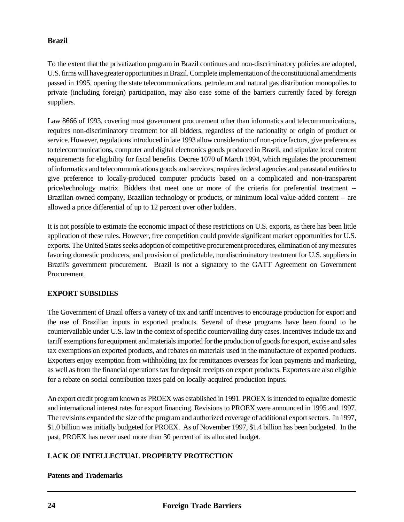To the extent that the privatization program in Brazil continues and non-discriminatory policies are adopted, U.S. firms will have greater opportunities in Brazil. Complete implementation of the constitutional amendments passed in 1995, opening the state telecommunications, petroleum and natural gas distribution monopolies to private (including foreign) participation, may also ease some of the barriers currently faced by foreign suppliers.

Law 8666 of 1993, covering most government procurement other than informatics and telecommunications, requires non-discriminatory treatment for all bidders, regardless of the nationality or origin of product or service. However, regulations introduced in late 1993 allow consideration of non-price factors, give preferences to telecommunications, computer and digital electronics goods produced in Brazil, and stipulate local content requirements for eligibility for fiscal benefits. Decree 1070 of March 1994, which regulates the procurement of informatics and telecommunications goods and services, requires federal agencies and parastatal entities to give preference to locally-produced computer products based on a complicated and non-transparent price/technology matrix. Bidders that meet one or more of the criteria for preferential treatment -- Brazilian-owned company, Brazilian technology or products, or minimum local value-added content -- are allowed a price differential of up to 12 percent over other bidders.

It is not possible to estimate the economic impact of these restrictions on U.S. exports, as there has been little application of these rules. However, free competition could provide significant market opportunities for U.S. exports. The United States seeks adoption of competitive procurement procedures, elimination of any measures favoring domestic producers, and provision of predictable, nondiscriminatory treatment for U.S. suppliers in Brazil's government procurement. Brazil is not a signatory to the GATT Agreement on Government Procurement.

# **EXPORT SUBSIDIES**

The Government of Brazil offers a variety of tax and tariff incentives to encourage production for export and the use of Brazilian inputs in exported products. Several of these programs have been found to be countervailable under U.S. law in the context of specific countervailing duty cases. Incentives include tax and tariff exemptions for equipment and materials imported for the production of goods for export, excise and sales tax exemptions on exported products, and rebates on materials used in the manufacture of exported products. Exporters enjoy exemption from withholding tax for remittances overseas for loan payments and marketing, as well as from the financial operations tax for deposit receipts on export products. Exporters are also eligible for a rebate on social contribution taxes paid on locally-acquired production inputs.

An export credit program known as PROEX was established in 1991. PROEX is intended to equalize domestic and international interest rates for export financing. Revisions to PROEX were announced in 1995 and 1997. The revisions expanded the size of the program and authorized coverage of additional export sectors. In 1997, \$1.0 billion was initially budgeted for PROEX. As of November 1997, \$1.4 billion has been budgeted. In the past, PROEX has never used more than 30 percent of its allocated budget.

# **LACK OF INTELLECTUAL PROPERTY PROTECTION**

# **Patents and Trademarks**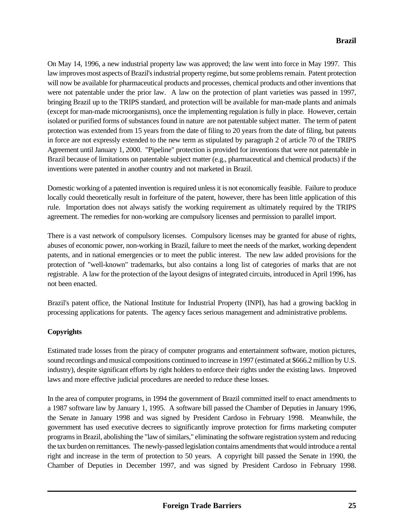On May 14, 1996, a new industrial property law was approved; the law went into force in May 1997. This law improves most aspects of Brazil's industrial property regime, but some problems remain. Patent protection will now be available for pharmaceutical products and processes, chemical products and other inventions that were not patentable under the prior law. A law on the protection of plant varieties was passed in 1997, bringing Brazil up to the TRIPS standard, and protection will be available for man-made plants and animals (except for man-made microorganisms), once the implementing regulation is fully in place. However, certain isolated or purified forms of substances found in nature are not patentable subject matter. The term of patent protection was extended from 15 years from the date of filing to 20 years from the date of filing, but patents in force are not expressly extended to the new term as stipulated by paragraph 2 of article 70 of the TRIPS Agreement until January 1, 2000. "Pipeline" protection is provided for inventions that were not patentable in Brazil because of limitations on patentable subject matter (e.g., pharmaceutical and chemical products) if the inventions were patented in another country and not marketed in Brazil.

Domestic working of a patented invention is required unless it is not economically feasible. Failure to produce locally could theoretically result in forfeiture of the patent, however, there has been little application of this rule. Importation does not always satisfy the working requirement as ultimately required by the TRIPS agreement. The remedies for non-working are compulsory licenses and permission to parallel import.

There is a vast network of compulsory licenses. Compulsory licenses may be granted for abuse of rights, abuses of economic power, non-working in Brazil, failure to meet the needs of the market, working dependent patents, and in national emergencies or to meet the public interest. The new law added provisions for the protection of "well-known" trademarks, but also contains a long list of categories of marks that are not registrable. A law for the protection of the layout designs of integrated circuits, introduced in April 1996, has not been enacted.

Brazil's patent office, the National Institute for Industrial Property (INPI), has had a growing backlog in processing applications for patents. The agency faces serious management and administrative problems.

# **Copyrights**

Estimated trade losses from the piracy of computer programs and entertainment software, motion pictures, sound recordings and musical compositions continued to increase in 1997 (estimated at \$666.2 million by U.S. industry), despite significant efforts by right holders to enforce their rights under the existing laws. Improved laws and more effective judicial procedures are needed to reduce these losses.

In the area of computer programs, in 1994 the government of Brazil committed itself to enact amendments to a 1987 software law by January 1, 1995. A software bill passed the Chamber of Deputies in January 1996, the Senate in January 1998 and was signed by President Cardoso in February 1998. Meanwhile, the government has used executive decrees to significantly improve protection for firms marketing computer programs in Brazil, abolishing the "law of similars," eliminating the software registration system and reducing the tax burden on remittances. The newly-passed legislation contains amendments that would introduce a rental right and increase in the term of protection to 50 years. A copyright bill passed the Senate in 1990, the Chamber of Deputies in December 1997, and was signed by President Cardoso in February 1998.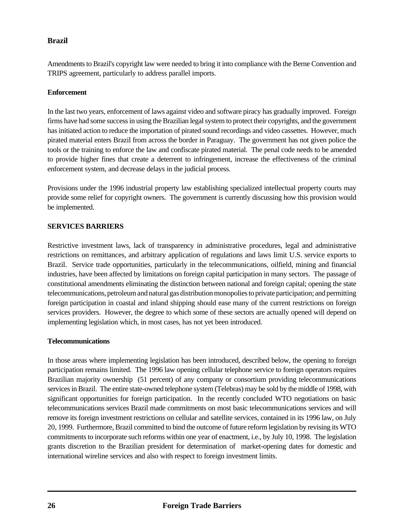Amendments to Brazil's copyright law were needed to bring it into compliance with the Berne Convention and TRIPS agreement, particularly to address parallel imports.

#### **Enforcement**

In the last two years, enforcement of laws against video and software piracy has gradually improved. Foreign firms have had some success in using the Brazilian legal system to protect their copyrights, and the government has initiated action to reduce the importation of pirated sound recordings and video cassettes. However, much pirated material enters Brazil from across the border in Paraguay. The government has not given police the tools or the training to enforce the law and confiscate pirated material. The penal code needs to be amended to provide higher fines that create a deterrent to infringement, increase the effectiveness of the criminal enforcement system, and decrease delays in the judicial process.

Provisions under the 1996 industrial property law establishing specialized intellectual property courts may provide some relief for copyright owners. The government is currently discussing how this provision would be implemented.

#### **SERVICES BARRIERS**

Restrictive investment laws, lack of transparency in administrative procedures, legal and administrative restrictions on remittances, and arbitrary application of regulations and laws limit U.S. service exports to Brazil. Service trade opportunities, particularly in the telecommunications, oilfield, mining and financial industries, have been affected by limitations on foreign capital participation in many sectors. The passage of constitutional amendments eliminating the distinction between national and foreign capital; opening the state telecommunications, petroleum and natural gas distribution monopolies to private participation; and permitting foreign participation in coastal and inland shipping should ease many of the current restrictions on foreign services providers. However, the degree to which some of these sectors are actually opened will depend on implementing legislation which, in most cases, has not yet been introduced.

#### **Telecommunications**

In those areas where implementing legislation has been introduced, described below, the opening to foreign participation remains limited. The 1996 law opening cellular telephone service to foreign operators requires Brazilian majority ownership (51 percent) of any company or consortium providing telecommunications services in Brazil. The entire state-owned telephone system (Telebras) may be sold by the middle of 1998, with significant opportunities for foreign participation. In the recently concluded WTO negotiations on basic telecommunications services Brazil made commitments on most basic telecommunications services and will remove its foreign investment restrictions on cellular and satellite services, contained in its 1996 law, on July 20, 1999. Furthermore, Brazil committed to bind the outcome of future reform legislation by revising its WTO commitments to incorporate such reforms within one year of enactment, i.e., by July 10, 1998. The legislation grants discretion to the Brazilian president for determination of market-opening dates for domestic and international wireline services and also with respect to foreign investment limits.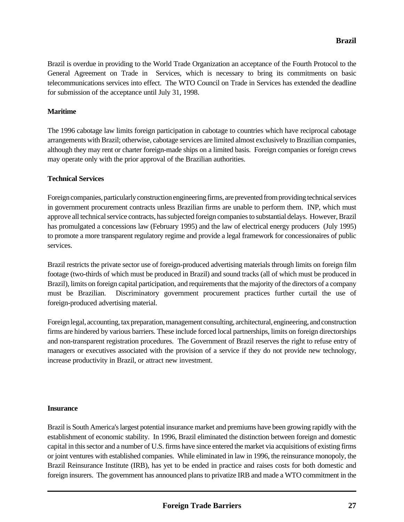Brazil is overdue in providing to the World Trade Organization an acceptance of the Fourth Protocol to the General Agreement on Trade in Services, which is necessary to bring its commitments on basic telecommunications services into effect. The WTO Council on Trade in Services has extended the deadline for submission of the acceptance until July 31, 1998.

## **Maritime**

The 1996 cabotage law limits foreign participation in cabotage to countries which have reciprocal cabotage arrangements with Brazil; otherwise, cabotage services are limited almost exclusively to Brazilian companies, although they may rent or charter foreign-made ships on a limited basis. Foreign companies or foreign crews may operate only with the prior approval of the Brazilian authorities.

## **Technical Services**

Foreign companies, particularly construction engineering firms, are prevented from providing technical services in government procurement contracts unless Brazilian firms are unable to perform them. INP, which must approve all technical service contracts, has subjected foreign companies to substantial delays. However, Brazil has promulgated a concessions law (February 1995) and the law of electrical energy producers (July 1995) to promote a more transparent regulatory regime and provide a legal framework for concessionaires of public services.

Brazil restricts the private sector use of foreign-produced advertising materials through limits on foreign film footage (two-thirds of which must be produced in Brazil) and sound tracks (all of which must be produced in Brazil), limits on foreign capital participation, and requirements that the majority of the directors of a company must be Brazilian. Discriminatory government procurement practices further curtail the use of foreign-produced advertising material.

Foreign legal, accounting, tax preparation, management consulting, architectural, engineering, and construction firms are hindered by various barriers. These include forced local partnerships, limits on foreign directorships and non-transparent registration procedures. The Government of Brazil reserves the right to refuse entry of managers or executives associated with the provision of a service if they do not provide new technology, increase productivity in Brazil, or attract new investment.

#### **Insurance**

Brazil is South America's largest potential insurance market and premiums have been growing rapidly with the establishment of economic stability. In 1996, Brazil eliminated the distinction between foreign and domestic capital in this sector and a number of U.S. firms have since entered the market via acquisitions of existing firms or joint ventures with established companies. While eliminated in law in 1996, the reinsurance monopoly, the Brazil Reinsurance Institute (IRB), has yet to be ended in practice and raises costs for both domestic and foreign insurers. The government has announced plans to privatize IRB and made a WTO commitment in the